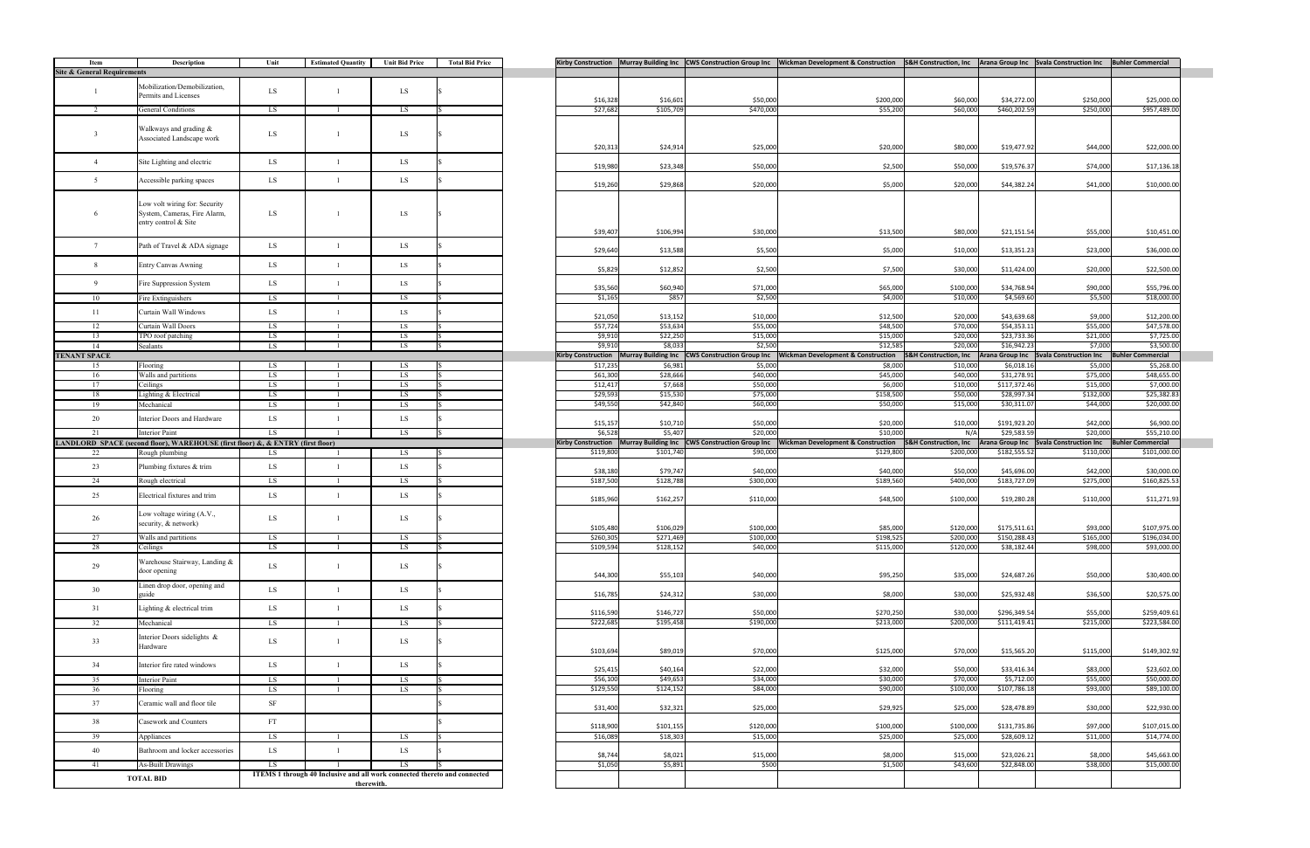|                           |                            |                                   | Kirby Construction Murray Building Inc CWS Construction Group Inc Wickman Development & Construction | <b>S&amp;H Construction, Inc</b> |                        | Arana Group Inc Svala Construction Inc | <b>Buhler Commercial</b> |
|---------------------------|----------------------------|-----------------------------------|------------------------------------------------------------------------------------------------------|----------------------------------|------------------------|----------------------------------------|--------------------------|
|                           |                            |                                   |                                                                                                      |                                  |                        |                                        |                          |
|                           |                            |                                   |                                                                                                      |                                  |                        |                                        |                          |
|                           |                            |                                   |                                                                                                      |                                  |                        |                                        |                          |
| \$16,328                  | \$16,601                   | \$50,000                          | \$200,000                                                                                            | \$60,000                         | \$34,272.00            | \$250,000                              | \$25,000.00              |
| \$27,682                  | \$105,709                  | \$470,000                         | \$55,200                                                                                             | \$60,000                         | \$460,202.59           | \$250,000                              | \$957,489.00             |
|                           |                            |                                   |                                                                                                      |                                  |                        |                                        |                          |
|                           |                            |                                   |                                                                                                      |                                  |                        |                                        |                          |
|                           |                            |                                   |                                                                                                      |                                  |                        |                                        |                          |
| \$20,313                  | \$24,914                   | \$25,000                          | \$20,000                                                                                             | \$80,000                         | \$19,477.92            | \$44,000                               | \$22,000.00              |
|                           |                            |                                   |                                                                                                      |                                  |                        |                                        |                          |
| \$19,980                  | \$23,348                   | \$50,000                          | \$2,500                                                                                              | \$50,000                         | \$19,576.37            | \$74,000                               | \$17,136.18              |
|                           |                            |                                   |                                                                                                      |                                  |                        |                                        |                          |
| \$19,260                  | \$29,868                   | \$20,000                          | \$5,000                                                                                              | \$20,000                         | \$44,382.24            | \$41,000                               | \$10,000.00              |
|                           |                            |                                   |                                                                                                      |                                  |                        |                                        |                          |
|                           |                            |                                   |                                                                                                      |                                  |                        |                                        |                          |
|                           |                            |                                   |                                                                                                      |                                  |                        |                                        |                          |
|                           |                            |                                   |                                                                                                      |                                  |                        |                                        |                          |
| \$39,407                  | \$106,994                  | \$30,000                          | \$13,500                                                                                             | \$80,000                         | \$21,151.54            | \$55,000                               | \$10,451.00              |
|                           |                            |                                   |                                                                                                      |                                  |                        |                                        |                          |
| \$29,640                  | \$13,588                   | \$5,500                           | \$5,000                                                                                              | \$10,000                         | \$13,351.23            | \$23,000                               | \$36,000.00              |
|                           |                            |                                   |                                                                                                      |                                  |                        |                                        |                          |
| \$5,829                   | \$12,852                   | \$2,500                           | \$7,500                                                                                              | \$30,000                         | \$11,424.00            | \$20,000                               | \$22,500.00              |
|                           |                            |                                   |                                                                                                      |                                  |                        |                                        |                          |
| \$35,560                  | \$60,940                   | \$71,000                          | \$65,000                                                                                             | \$100,000                        | \$34,768.94            | \$90,000                               | \$55,796.00              |
| \$1,165                   | \$857                      | \$2,500                           | \$4,000                                                                                              | \$10,000                         | \$4,569.60             | \$5,500                                | \$18,000.00              |
|                           |                            |                                   |                                                                                                      |                                  |                        |                                        |                          |
| \$21,050                  | \$13,152                   | \$10,000                          | \$12,500                                                                                             | \$20,000                         | \$43,639.68            | \$9,000                                | \$12,200.00              |
| \$57,724                  | \$53,634                   | \$55,000                          | \$48,500                                                                                             | \$70,000                         | \$54,353.11            | \$55,000                               | \$47,578.00              |
| \$9,910                   | \$22,250                   | \$15,000                          | \$15,000                                                                                             | \$20,000                         | \$23,733.36            | \$21,000                               | \$7,725.00               |
| \$9,910                   | \$8,033                    | \$2,500                           | \$12,585                                                                                             | \$20,000                         | \$16,942.23            | \$7,000                                | \$3,500.00               |
| <b>Kirby Construction</b> | <b>Murray Building Inc</b> | <b>CWS Construction Group Inc</b> | <b>Wickman Development &amp; Construction</b>                                                        | <b>S&amp;H Construction, Inc</b> | <b>Arana Group Inc</b> | <b>Svala Construction Inc</b>          | <b>Buhler Commercial</b> |
| \$17,235                  | \$6,981                    | \$5,000                           | \$8,000                                                                                              | \$10,000                         | \$6,018.16             | \$5,000                                | \$5,268.00               |
| \$61,300                  | \$28,666                   | \$40,000                          | \$45,000                                                                                             | \$40,000                         | \$31,278.91            | \$75,000                               | \$48,655.00              |
| \$12,417                  |                            |                                   |                                                                                                      |                                  | \$117,372.46           |                                        | \$7,000.00               |
|                           | \$7,668                    | \$50,000                          | \$6,000<br>\$158,500                                                                                 | \$10,000                         |                        | \$15,000                               |                          |
| \$29,593                  | \$15,530                   | \$75,000                          |                                                                                                      | \$50,000                         | \$28,997.34            | \$132,000                              | \$25,382.83              |
| \$49,550                  | \$42,840                   | \$60,000                          | \$50,000                                                                                             | \$15,000                         | \$30,311.07            | \$44,000                               | \$20,000.00              |
|                           |                            |                                   |                                                                                                      |                                  |                        |                                        |                          |
| \$15,157                  | \$10,710                   | \$50,000                          | \$20,000                                                                                             | \$10,000                         | \$191,923.20           | \$42,000                               | \$6,900.00               |
| \$6,528                   | \$5,407                    | \$20,000                          | \$10,000                                                                                             | N/A                              | \$29,583.59            | \$20,000                               | \$55,210.00              |
|                           |                            |                                   |                                                                                                      |                                  |                        |                                        |                          |
| <b>Kirby Construction</b> | <b>Murray Building Inc</b> | <b>CWS Construction Group Inc</b> | <b>Wickman Development &amp; Construction</b>                                                        | S&H Construction, Inc            | Arana Group Inc        | <b>Svala Construction Inc</b>          | <b>Buhler Commercial</b> |
| \$119,800                 | \$101,740                  | \$90,000                          | \$129,800                                                                                            | \$200,000                        | \$182,555.52           | \$110,000                              | \$101,000.00             |
|                           |                            |                                   |                                                                                                      |                                  |                        |                                        |                          |
| \$38,180                  | \$79,747                   | \$40,000                          | \$40,000                                                                                             | \$50,000                         | \$45,696.00            | \$42,000                               | \$30,000.00              |
| \$187,500                 | \$128,788                  | \$300,000                         | \$189,560                                                                                            | \$400,000                        | \$183,727.09           | \$275,000                              | \$160,825.53             |
|                           |                            |                                   |                                                                                                      |                                  |                        |                                        |                          |
| \$185,960                 | \$162,257                  | \$110,000                         | \$48,500                                                                                             | \$100,000                        | \$19,280.28            | \$110,000                              | \$11,271.93              |
|                           |                            |                                   |                                                                                                      |                                  |                        |                                        |                          |
|                           |                            |                                   |                                                                                                      |                                  |                        |                                        |                          |
| \$105,480                 | \$106,029                  | \$100,000                         | \$85,000                                                                                             | \$120,000                        | \$175,511.61           | \$93,000                               | \$107,975.00             |
| \$260,305                 | \$271,469                  | \$100,000                         | \$198,525                                                                                            | \$200,000                        | \$150,288.43           | \$165,000                              | \$196,034.00             |
| \$109,594                 | \$128,152                  | \$40,000                          | \$115,000                                                                                            | \$120,000                        | \$38,182.44            | \$98,000                               | \$93,000.00              |
|                           |                            |                                   |                                                                                                      |                                  |                        |                                        |                          |
|                           |                            |                                   |                                                                                                      |                                  |                        |                                        |                          |
| \$44,300                  | \$55,103                   | \$40,000                          | \$95,250                                                                                             | \$35,000                         | \$24,687.26            | \$50,000                               | \$30,400.00              |
|                           |                            |                                   |                                                                                                      |                                  |                        |                                        |                          |
| \$16,785                  | \$24,312                   | \$30,000                          | \$8,000                                                                                              | \$30,000                         | \$25,932.48            | \$36,500                               | \$20,575.00              |
|                           |                            |                                   |                                                                                                      |                                  |                        |                                        |                          |
| \$116,590                 | \$146,727                  | \$50,000                          | \$270,250                                                                                            | \$30,000                         | \$296,349.54           | \$55,000                               | \$259,409.61             |
| \$222,685                 | \$195,458                  | \$190,000                         | \$213,000                                                                                            | \$200,000                        | \$111,419.41           | \$215,000                              | \$223,584.00             |
|                           |                            |                                   |                                                                                                      |                                  |                        |                                        |                          |
|                           |                            |                                   |                                                                                                      |                                  |                        |                                        |                          |
| \$103,694                 | \$89,019                   | \$70,000                          | \$125,000                                                                                            | \$70,000                         | \$15,565.20            | \$115,000                              | \$149,302.92             |
|                           |                            |                                   |                                                                                                      |                                  |                        |                                        |                          |
| \$25,415                  | \$40,164                   | \$22,000                          | \$32,000                                                                                             | \$50,000                         | \$33,416.34            | \$83,000                               | \$23,602.00              |
| \$56,100                  | \$49,653                   | \$34,000                          | \$30,000                                                                                             | \$70,000                         | \$5,712.00             | \$55,000                               | \$50,000.00              |
| \$129,550                 | \$124,152                  | \$84,000                          | \$90,000                                                                                             | \$100,000                        | \$107,786.18           | \$93,000                               | \$89,100.00              |
|                           |                            |                                   |                                                                                                      |                                  |                        |                                        |                          |
| \$31,400                  | \$32,321                   | \$25,000                          | \$29,925                                                                                             | \$25,000                         | \$28,478.89            | \$30,000                               | \$22,930.00              |
|                           |                            |                                   |                                                                                                      |                                  |                        |                                        |                          |
| \$118,900                 | \$101,155                  | \$120,000                         | \$100,000                                                                                            | \$100,000                        | \$131,735.86           | \$97,000                               | \$107,015.00             |
| \$16,089                  | \$18,303                   | \$15,000                          | \$25,000                                                                                             | \$25,000                         | \$28,609.12            | \$11,000                               | \$14,774.00              |
|                           |                            |                                   |                                                                                                      |                                  |                        |                                        |                          |
| \$8,744                   | \$8,021                    | \$15,000                          | \$8,000                                                                                              | \$15,000                         | \$23,026.21            | \$8,000                                | \$45,663.00              |
| \$1,050                   | \$5,891                    | \$500                             | \$1,500                                                                                              | \$43,600                         | \$22,848.00            | \$38,000                               | \$15,000.00              |
|                           |                            |                                   |                                                                                                      |                                  |                        |                                        |                          |

| Item                                   | Description                                                                           | Unit                                                                                    | <b>Estimated Quantity</b>    | <b>Unit Bid Price</b> | <b>Total Bid Price</b> |  |  |  |  |  |
|----------------------------------------|---------------------------------------------------------------------------------------|-----------------------------------------------------------------------------------------|------------------------------|-----------------------|------------------------|--|--|--|--|--|
| <b>Site &amp; General Requirements</b> |                                                                                       |                                                                                         |                              |                       |                        |  |  |  |  |  |
| $\mathbf{1}$                           | Mobilization/Demobilization,<br>Permits and Licenses                                  | LS                                                                                      | $\mathbf{1}$                 | LS                    | S                      |  |  |  |  |  |
| $\overline{c}$                         | General Conditions                                                                    | LS                                                                                      | 1                            | LS                    |                        |  |  |  |  |  |
| 3                                      | Walkways and grading &<br>Associated Landscape work                                   | LS                                                                                      | $\mathbf{1}$                 | LS                    |                        |  |  |  |  |  |
| $\overline{4}$                         | Site Lighting and electric                                                            | LS                                                                                      | $\mathbf{1}$                 | LS                    | \$                     |  |  |  |  |  |
| 5                                      | Accessible parking spaces                                                             | LS                                                                                      | $\mathbf{1}$                 | LS                    | Ś                      |  |  |  |  |  |
| 6                                      | Low volt wiring for: Security<br>System, Cameras, Fire Alarm,<br>entry control & Site | LS                                                                                      | $\mathbf{1}$                 | LS                    | \$                     |  |  |  |  |  |
| 7                                      | Path of Travel & ADA signage                                                          | LS                                                                                      | $\mathbf{1}$                 | LS                    | \$                     |  |  |  |  |  |
| 8                                      | <b>Entry Canvas Awning</b>                                                            | LS                                                                                      | $\mathbf{1}$                 | LS                    | \$                     |  |  |  |  |  |
| 9                                      | Fire Suppression System                                                               | LS                                                                                      | $\mathbf{1}$                 | LS                    | \$                     |  |  |  |  |  |
| 10                                     | Fire Extinguishers                                                                    | LS                                                                                      | 1                            | LS                    |                        |  |  |  |  |  |
| 11                                     | Curtain Wall Windows                                                                  | LS                                                                                      | $\mathbf{1}$                 | LS                    | \$                     |  |  |  |  |  |
| 12                                     | Curtain Wall Doors                                                                    | LS                                                                                      | $\mathbf{1}$                 | LS                    |                        |  |  |  |  |  |
| 13<br>14                               | TPO roof patching                                                                     | LS<br>LS                                                                                | $\mathbf{1}$<br>$\mathbf{1}$ | LS                    |                        |  |  |  |  |  |
| <b>TENANT SPACE</b>                    | Sealants                                                                              |                                                                                         |                              | LS                    |                        |  |  |  |  |  |
| 15                                     | Flooring                                                                              | LS                                                                                      | 1                            | LS                    | S                      |  |  |  |  |  |
| 16                                     | Walls and partitions                                                                  | LS                                                                                      | 1                            | LS                    | S                      |  |  |  |  |  |
| 17                                     | Ceilings                                                                              | LS                                                                                      | 1                            | LS                    |                        |  |  |  |  |  |
| 18                                     | Lighting & Electrical                                                                 | LS                                                                                      | $\mathbf{1}$                 | LS                    |                        |  |  |  |  |  |
| 19                                     | Mechanical                                                                            | LS                                                                                      | 1                            | LS                    | s                      |  |  |  |  |  |
| 20                                     | Interior Doors and Hardware                                                           | LS                                                                                      | $\mathbf{1}$                 | LS                    | \$                     |  |  |  |  |  |
| 21                                     | <b>Interior Paint</b>                                                                 | LS                                                                                      | $\mathbf{1}$                 | LS                    | Ŝ                      |  |  |  |  |  |
|                                        | LANDLORD SPACE (second floor), WAREHOUSE (first floor) &, & ENTRY (first floor)       |                                                                                         |                              |                       |                        |  |  |  |  |  |
| 22                                     | Rough plumbing                                                                        | LS                                                                                      | 1                            | LS                    |                        |  |  |  |  |  |
| 23<br>24                               | Plumbing fixtures & trim<br>Rough electrical                                          | LS<br>LS                                                                                | $\mathbf{1}$<br>1            | LS<br>LS              | \$<br>\$               |  |  |  |  |  |
| 25                                     | Electrical fixtures and trim                                                          | LS                                                                                      | $\mathbf{1}$                 | LS                    | \$                     |  |  |  |  |  |
| 26                                     | Low voltage wiring (A.V.,<br>security, & network)                                     | LS                                                                                      | $\mathbf{1}$                 | LS                    |                        |  |  |  |  |  |
| 27                                     | Walls and partitions                                                                  | LS                                                                                      |                              | LS                    |                        |  |  |  |  |  |
| 28                                     | Ceilings                                                                              | LS                                                                                      | 1                            | LS                    |                        |  |  |  |  |  |
| 29                                     | Warehouse Stairway, Landing &<br>door opening                                         | LS                                                                                      | $\mathbf{1}$                 | LS                    | \$                     |  |  |  |  |  |
| 30                                     | Linen drop door, opening and<br>guide                                                 | LS                                                                                      | $\mathbf{1}$                 | LS                    | \$                     |  |  |  |  |  |
| 31                                     | Lighting & electrical trim                                                            | LS                                                                                      | $\mathbf{1}$                 | LS                    | \$                     |  |  |  |  |  |
| 32                                     | Mechanical                                                                            | LS                                                                                      | $\overline{1}$               | LS                    | \$                     |  |  |  |  |  |
| 33                                     | Interior Doors sidelights &<br>Hardware                                               | LS                                                                                      | $\mathbf{1}$                 | LS                    | S                      |  |  |  |  |  |
| 34                                     | Interior fire rated windows                                                           | LS                                                                                      | $1\,$                        | LS                    | \$                     |  |  |  |  |  |
| 35                                     | <b>Interior Paint</b>                                                                 | LS                                                                                      | $\mathbf{1}$                 | LS                    | \$                     |  |  |  |  |  |
| 36                                     | Flooring                                                                              | LS                                                                                      | 1                            | LS                    | \$                     |  |  |  |  |  |
| 37                                     | Ceramic wall and floor tile                                                           | SF                                                                                      |                              |                       | \$                     |  |  |  |  |  |
| 38                                     | Casework and Counters                                                                 | FT                                                                                      |                              |                       | \$                     |  |  |  |  |  |
| 39                                     | Appliances                                                                            | LS                                                                                      | $\mathbf{1}$                 | LS                    | \$                     |  |  |  |  |  |
| 40                                     | Bathroom and locker accessories                                                       | LS                                                                                      | $\mathbf{1}$                 | LS                    | \$                     |  |  |  |  |  |
| 41                                     | <b>As-Built Drawings</b>                                                              | LS                                                                                      | -1                           | LS                    |                        |  |  |  |  |  |
|                                        | <b>TOTAL BID</b>                                                                      | ITEMS 1 through 40 Inclusive and all work connected thereto and connected<br>therewith. |                              |                       |                        |  |  |  |  |  |